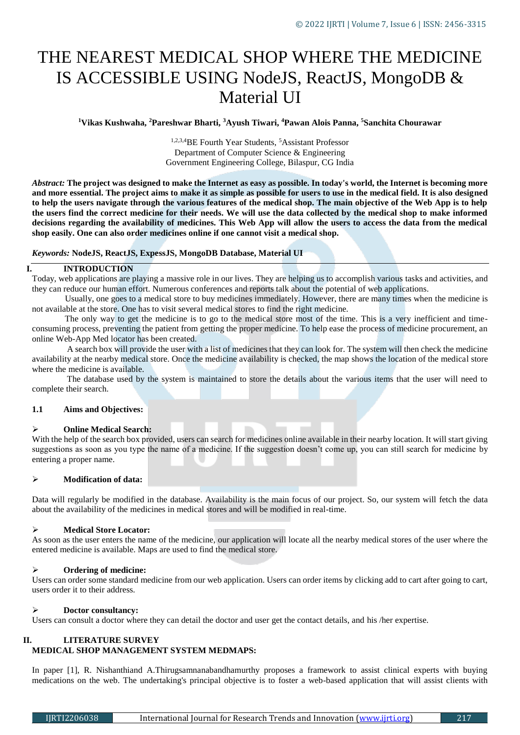# THE NEAREST MEDICAL SHOP WHERE THE MEDICINE IS ACCESSIBLE USING NodeJS, ReactJS, MongoDB & Material UI

**<sup>1</sup>Vikas Kushwaha, <sup>2</sup>Pareshwar Bharti, <sup>3</sup>Ayush Tiwari, <sup>4</sup>Pawan Alois Panna, <sup>5</sup>Sanchita Chourawar**

<sup>1,2,3,4</sup>BE Fourth Year Students, <sup>5</sup>Assistant Professor Department of Computer Science & Engineering Government Engineering College, Bilaspur, CG India

*Abstract:* **The project was designed to make the Internet as easy as possible. In today's world, the Internet is becoming more and more essential. The project aims to make it as simple as possible for users to use in the medical field. It is also designed to help the users navigate through the various features of the medical shop. The main objective of the Web App is to help the users find the correct medicine for their needs. We will use the data collected by the medical shop to make informed decisions regarding the availability of medicines. This Web App will allow the users to access the data from the medical shop easily. One can also order medicines online if one cannot visit a medical shop.**

*Keywords:* **NodeJS, ReactJS, ExpessJS, MongoDB Database, Material UI**

## **I. INTRODUCTION**

Today, web applications are playing a massive role in our lives. They are helping us to accomplish various tasks and activities, and they can reduce our human effort. Numerous conferences and reports talk about the potential of web applications.

 Usually, one goes to a medical store to buy medicines immediately. However, there are many times when the medicine is not available at the store. One has to visit several medical stores to find the right medicine.

 The only way to get the medicine is to go to the medical store most of the time. This is a very inefficient and timeconsuming process, preventing the patient from getting the proper medicine. To help ease the process of medicine procurement, an online Web-App Med locator has been created.

 A search box will provide the user with a list of medicines that they can look for. The system will then check the medicine availability at the nearby medical store. Once the medicine availability is checked, the map shows the location of the medical store where the medicine is available.

 The database used by the system is maintained to store the details about the various items that the user will need to complete their search.

# **1.1 Aims and Objectives:**

### **Online Medical Search:**

With the help of the search box provided, users can search for medicines online available in their nearby location. It will start giving suggestions as soon as you type the name of a medicine. If the suggestion doesn't come up, you can still search for medicine by entering a proper name.

# **Modification of data:**

Data will regularly be modified in the database. Availability is the main focus of our project. So, our system will fetch the data about the availability of the medicines in medical stores and will be modified in real-time.

# **Medical Store Locator:**

As soon as the user enters the name of the medicine, our application will locate all the nearby medical stores of the user where the entered medicine is available. Maps are used to find the medical store.

# **Ordering of medicine:**

Users can order some standard medicine from our web application. Users can order items by clicking add to cart after going to cart, users order it to their address.

### **Doctor consultancy:**

Users can consult a doctor where they can detail the doctor and user get the contact details, and his /her expertise.

# **II. LITERATURE SURVEY MEDICAL SHOP MANAGEMENT SYSTEM MEDMAPS:**

In paper [1], R. Nishanthiand A.Thirugsamnanabandhamurthy proposes a framework to assist clinical experts with buying medications on the web. The undertaking's principal objective is to foster a web-based application that will assist clients with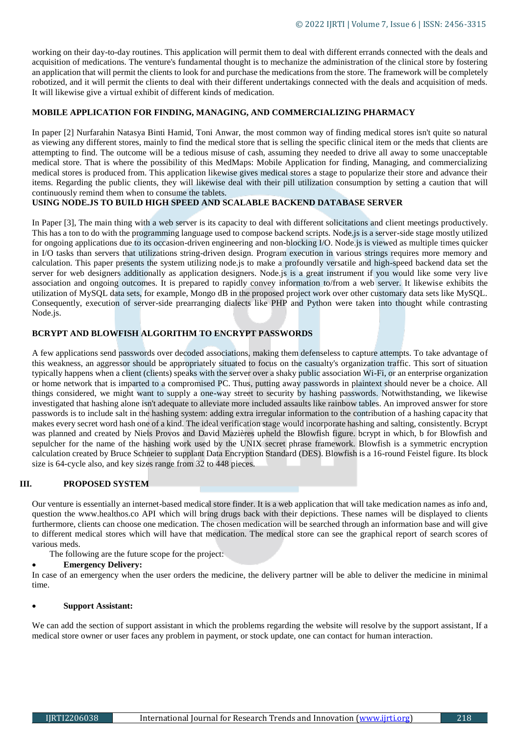working on their day-to-day routines. This application will permit them to deal with different errands connected with the deals and acquisition of medications. The venture's fundamental thought is to mechanize the administration of the clinical store by fostering an application that will permit the clients to look for and purchase the medications from the store. The framework will be completely robotized, and it will permit the clients to deal with their different undertakings connected with the deals and acquisition of meds. It will likewise give a virtual exhibit of different kinds of medication.

## **MOBILE APPLICATION FOR FINDING, MANAGING, AND COMMERCIALIZING PHARMACY**

In paper [2] Nurfarahin Natasya Binti Hamid, Toni Anwar, the most common way of finding medical stores isn't quite so natural as viewing any different stores, mainly to find the medical store that is selling the specific clinical item or the meds that clients are attempting to find. The outcome will be a tedious misuse of cash, assuming they needed to drive all away to some unacceptable medical store. That is where the possibility of this MedMaps: Mobile Application for finding, Managing, and commercializing medical stores is produced from. This application likewise gives medical stores a stage to popularize their store and advance their items. Regarding the public clients, they will likewise deal with their pill utilization consumption by setting a caution that will continuously remind them when to consume the tablets.

## **USING NODE.JS TO BUILD HIGH SPEED AND SCALABLE BACKEND DATABASE SERVER**

In Paper [3], The main thing with a web server is its capacity to deal with different solicitations and client meetings productively. This has a ton to do with the programming language used to compose backend scripts. Node.js is a server-side stage mostly utilized for ongoing applications due to its occasion-driven engineering and non-blocking I/O. Node.js is viewed as multiple times quicker in I/O tasks than servers that utilizations string-driven design. Program execution in various strings requires more memory and calculation. This paper presents the system utilizing node.js to make a profoundly versatile and high-speed backend data set the server for web designers additionally as application designers. Node.js is a great instrument if you would like some very live association and ongoing outcomes. It is prepared to rapidly convey information to/from a web server. It likewise exhibits the utilization of MySQL data sets, for example, Mongo dB in the proposed project work over other customary data sets like MySQL. Consequently, execution of server-side prearranging dialects like PHP and Python were taken into thought while contrasting Node.js.

# **BCRYPT AND BLOWFISH ALGORITHM TO ENCRYPT PASSWORDS**

A few applications send passwords over decoded associations, making them defenseless to capture attempts. To take advantage of this weakness, an aggressor should be appropriately situated to focus on the casualty's organization traffic. This sort of situation typically happens when a client (clients) speaks with the server over a shaky public association Wi-Fi, or an enterprise organization or home network that is imparted to a compromised PC. Thus, putting away passwords in plaintext should never be a choice. All things considered, we might want to supply a one-way street to security by hashing passwords. Notwithstanding, we likewise investigated that hashing alone isn't adequate to alleviate more included assaults like rainbow tables. An improved answer for store passwords is to include salt in the hashing system: adding extra irregular information to the contribution of a hashing capacity that makes every secret word hash one of a kind. The ideal verification stage would incorporate hashing and salting, consistently. Bcrypt was planned and created by Niels Provos and David Mazières upheld the Blowfish figure. bcrypt in which, b for Blowfish and sepulcher for the name of the hashing work used by the UNIX secret phrase framework. Blowfish is a symmetric encryption calculation created by Bruce Schneier to supplant Data Encryption Standard (DES). Blowfish is a 16-round Feistel figure. Its block size is 64-cycle also, and key sizes range from 32 to 448 pieces.

# **III. PROPOSED SYSTEM**

Our venture is essentially an internet-based medical store finder. It is a web application that will take medication names as info and, question the www.healthos.co API which will bring drugs back with their depictions. These names will be displayed to clients furthermore, clients can choose one medication. The chosen medication will be searched through an information base and will give to different medical stores which will have that medication. The medical store can see the graphical report of search scores of various meds.

The following are the future scope for the project:

### **Emergency Delivery:**

In case of an emergency when the user orders the medicine, the delivery partner will be able to deliver the medicine in minimal time.

## **Support Assistant:**

We can add the section of support assistant in which the problems regarding the website will resolve by the support assistant, If a medical store owner or user faces any problem in payment, or stock update, one can contact for human interaction.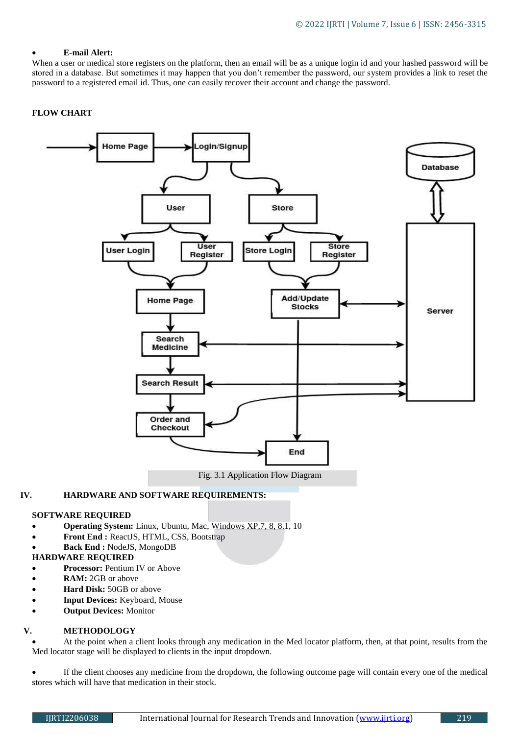# **E-mail Alert:**

When a user or medical store registers on the platform, then an email will be as a unique login id and your hashed password will be stored in a database. But sometimes it may happen that you don't remember the password, our system provides a link to reset the password to a registered email id. Thus, one can easily recover their account and change the password.

## **FLOW CHART**



## **IV. HARDWARE AND SOFTWARE REQUIREMENTS:**

# **SOFTWARE REQUIRED**

- **Operating System:** Linux, Ubuntu, Mac, Windows XP,7, 8, 8.1, 10
- **Front End :** ReactJS, HTML, CSS, Bootstrap
- **Back End :** NodeJS, MongoDB

## **HARDWARE REQUIRED**

- **Processor:** Pentium IV or Above
- **RAM:** 2GB or above
- **Hard Disk:** 50GB or above
- **Input Devices:** Keyboard, Mouse
- **Output Devices:** Monitor

# **V. METHODOLOGY**

 At the point when a client looks through any medication in the Med locator platform, then, at that point, results from the Med locator stage will be displayed to clients in the input dropdown.

 If the client chooses any medicine from the dropdown, the following outcome page will contain every one of the medical stores which will have that medication in their stock.